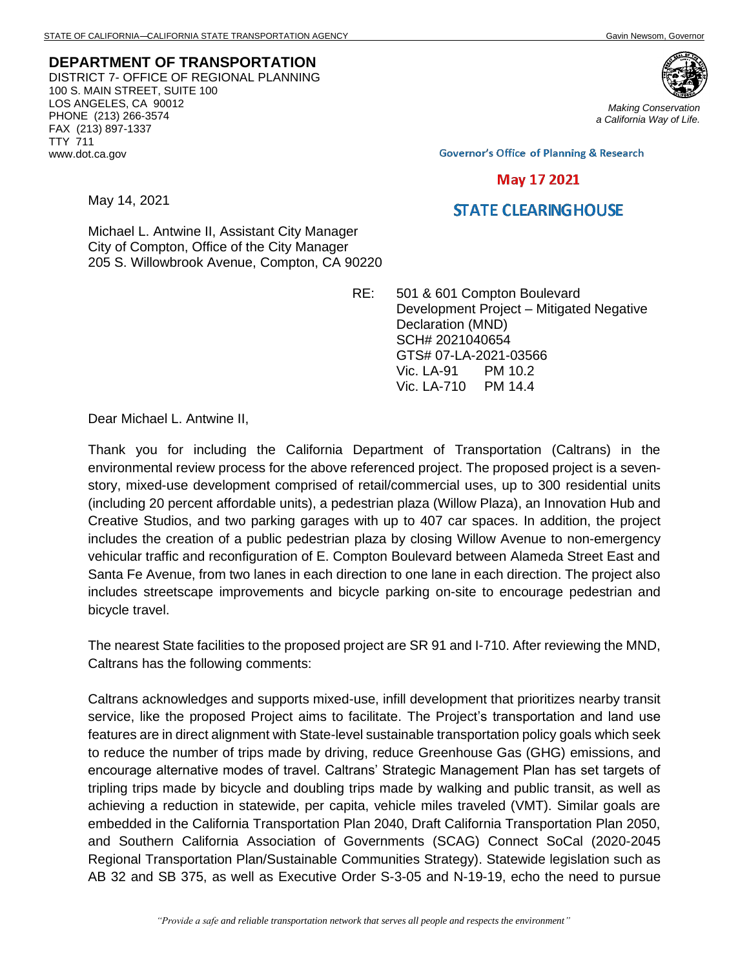**DEPARTMENT OF TRANSPORTATION** DISTRICT 7- OFFICE OF REGIONAL PLANNING 100 S. MAIN STREET, SUITE 100 LOS ANGELES, CA 90012 PHONE (213) 266-3574 FAX (213) 897-1337 TTY 711 www.dot.ca.gov

May 14, 2021



*Making Conservation a California Way of Life.*

**Governor's Office of Planning & Research** 

## May 17 2021

## **STATE CLEARING HOUSE**

Michael L. Antwine II, Assistant City Manager City of Compton, Office of the City Manager 205 S. Willowbrook Avenue, Compton, CA 90220

> RE: 501 & 601 Compton Boulevard Development Project – Mitigated Negative Declaration (MND) SCH# 2021040654 GTS# 07-LA-2021-03566 Vic. LA-91 PM 10.2 Vic. LA-710 PM 14.4

Dear Michael L. Antwine II,

Thank you for including the California Department of Transportation (Caltrans) in the environmental review process for the above referenced project. The proposed project is a sevenstory, mixed-use development comprised of retail/commercial uses, up to 300 residential units (including 20 percent affordable units), a pedestrian plaza (Willow Plaza), an Innovation Hub and Creative Studios, and two parking garages with up to 407 car spaces. In addition, the project includes the creation of a public pedestrian plaza by closing Willow Avenue to non-emergency vehicular traffic and reconfiguration of E. Compton Boulevard between Alameda Street East and Santa Fe Avenue, from two lanes in each direction to one lane in each direction. The project also includes streetscape improvements and bicycle parking on-site to encourage pedestrian and bicycle travel.

The nearest State facilities to the proposed project are SR 91 and I-710. After reviewing the MND, Caltrans has the following comments:

Caltrans acknowledges and supports mixed-use, infill development that prioritizes nearby transit service, like the proposed Project aims to facilitate. The Project's transportation and land use features are in direct alignment with State-level sustainable transportation policy goals which seek to reduce the number of trips made by driving, reduce Greenhouse Gas (GHG) emissions, and encourage alternative modes of travel. Caltrans' Strategic Management Plan has set targets of tripling trips made by bicycle and doubling trips made by walking and public transit, as well as achieving a reduction in statewide, per capita, vehicle miles traveled (VMT). Similar goals are embedded in the California Transportation Plan 2040, Draft California Transportation Plan 2050, and Southern California Association of Governments (SCAG) Connect SoCal (2020-2045 Regional Transportation Plan/Sustainable Communities Strategy). Statewide legislation such as AB 32 and SB 375, as well as Executive Order S-3-05 and N-19-19, echo the need to pursue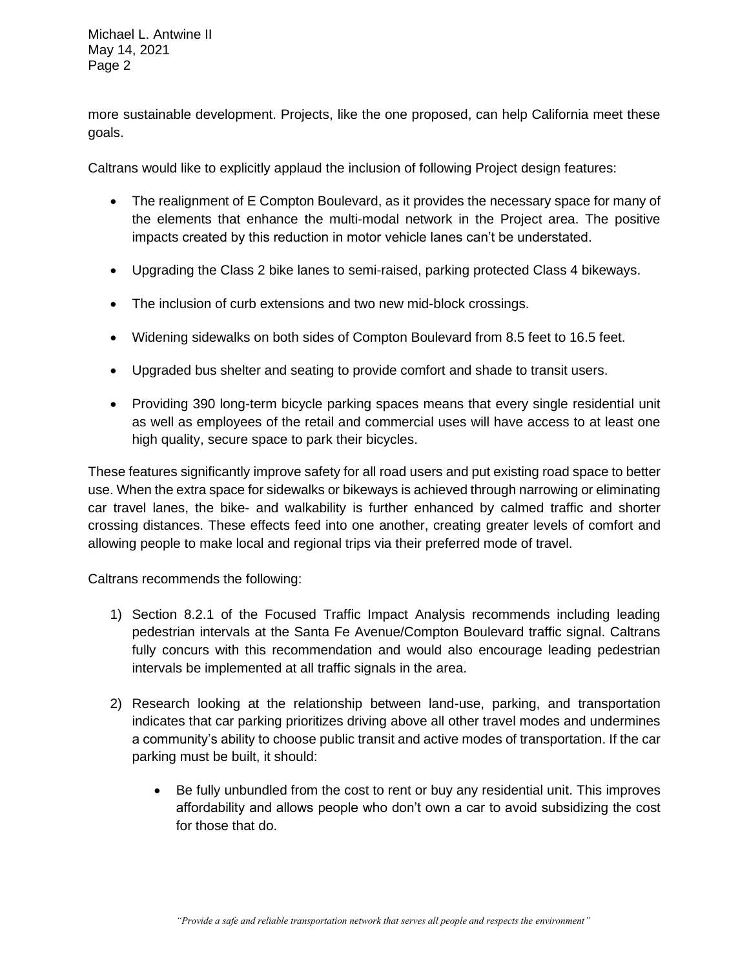Michael L. Antwine II May 14, 2021 Page 2

more sustainable development. Projects, like the one proposed, can help California meet these goals.

Caltrans would like to explicitly applaud the inclusion of following Project design features:

- The realignment of E Compton Boulevard, as it provides the necessary space for many of the elements that enhance the multi-modal network in the Project area. The positive impacts created by this reduction in motor vehicle lanes can't be understated.
- Upgrading the Class 2 bike lanes to semi-raised, parking protected Class 4 bikeways.
- The inclusion of curb extensions and two new mid-block crossings.
- Widening sidewalks on both sides of Compton Boulevard from 8.5 feet to 16.5 feet.
- Upgraded bus shelter and seating to provide comfort and shade to transit users.
- Providing 390 long-term bicycle parking spaces means that every single residential unit as well as employees of the retail and commercial uses will have access to at least one high quality, secure space to park their bicycles.

These features significantly improve safety for all road users and put existing road space to better use. When the extra space for sidewalks or bikeways is achieved through narrowing or eliminating car travel lanes, the bike- and walkability is further enhanced by calmed traffic and shorter crossing distances. These effects feed into one another, creating greater levels of comfort and allowing people to make local and regional trips via their preferred mode of travel.

Caltrans recommends the following:

- 1) Section 8.2.1 of the Focused Traffic Impact Analysis recommends including leading pedestrian intervals at the Santa Fe Avenue/Compton Boulevard traffic signal. Caltrans fully concurs with this recommendation and would also encourage leading pedestrian intervals be implemented at all traffic signals in the area.
- 2) Research looking at the relationship between land-use, parking, and transportation indicates that car parking prioritizes driving above all other travel modes and undermines a community's ability to choose public transit and active modes of transportation. If the car parking must be built, it should:
	- Be fully unbundled from the cost to rent or buy any residential unit. This improves affordability and allows people who don't own a car to avoid subsidizing the cost for those that do.